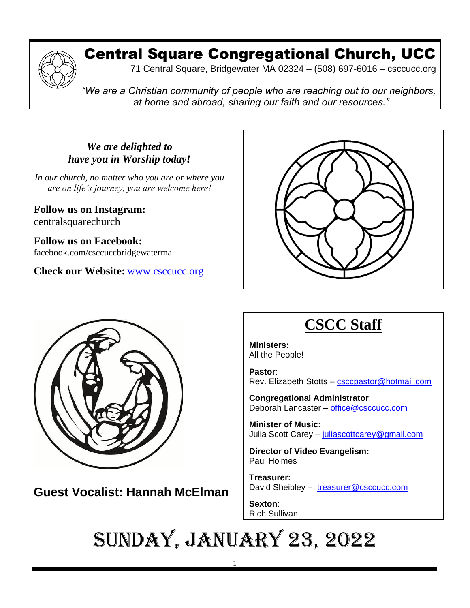

## Central Square Congregational Church, UCC

71 Central Square, Bridgewater MA 02324 – (508) 697-6016 – csccucc.org

*"We are a Christian community of people who are reaching out to our neighbors, at home and abroad, sharing our faith and our resources."*

*We are delighted to have you in Worship today!*

*In our church, no matter who you are or where you are on life's journey, you are welcome here!*

**Follow us on Instagram:** centralsquarechurch

**Follow us on Facebook:** facebook.com/csccuccbridgewaterma

**Check our Website:** [www.csccucc.org](http://www.csccucc.org/)





**Guest Vocalist: Hannah McElman**  $\mathcal{L}(\mathbf{x}, \mathbf{z}) = \mathbf{y} \mathbf{z} \mathbf{z} + \mathbf{z} \mathbf{z} \mathbf{z}$  $\,$ st vocalist: Hannan w $\,$ c $\,$ im

that we fail to notice our effect on others.

# **CSCC Staff**

**Ministers:** All the People!

**Pastor**: Rev. Elizabeth Stotts – [csccpastor@hotmail.com](about:blank)

**Congregational Administrator**: Deborah Lancaster – [office@csccucc.com](about:blank)

**Minister of Music**: Julia Scott Carey – [juliascottcarey@gmail.com](about:blank)

**Director of Video Evangelism:** Paul Holmes

**Treasurer:**  David Sheibley – [treasurer@csccucc.com](about:blank)

**Sexton**: Rich Sullivan

#### Sunday, January 23, 2022 Sometimes God we take ourselves so —our opinions, our emotions, our needs,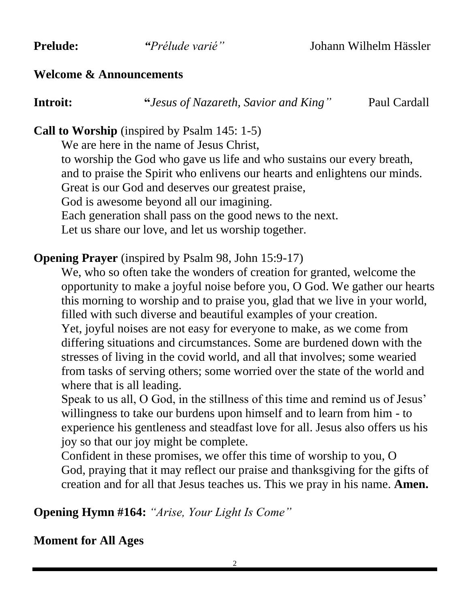#### **Welcome & Announcements**

**Introit: "***Jesus of Nazareth, Savior and King"*Paul Cardall

### **Call to Worship** (inspired by Psalm 145: 1-5)

We are here in the name of Jesus Christ. to worship the God who gave us life and who sustains our every breath, and to praise the Spirit who enlivens our hearts and enlightens our minds. Great is our God and deserves our greatest praise, God is awesome beyond all our imagining. Each generation shall pass on the good news to the next. Let us share our love, and let us worship together.

#### **Opening Prayer** (inspired by Psalm 98, John 15:9-17)

We, who so often take the wonders of creation for granted, welcome the opportunity to make a joyful noise before you, O God. We gather our hearts this morning to worship and to praise you, glad that we live in your world, filled with such diverse and beautiful examples of your creation.

Yet, joyful noises are not easy for everyone to make, as we come from differing situations and circumstances. Some are burdened down with the stresses of living in the covid world, and all that involves; some wearied from tasks of serving others; some worried over the state of the world and where that is all leading.

Speak to us all, O God, in the stillness of this time and remind us of Jesus' willingness to take our burdens upon himself and to learn from him - to experience his gentleness and steadfast love for all. Jesus also offers us his joy so that our joy might be complete.

Confident in these promises, we offer this time of worship to you, O God, praying that it may reflect our praise and thanksgiving for the gifts of creation and for all that Jesus teaches us. This we pray in his name. **Amen.**

**Opening Hymn #164:** *"Arise, Your Light Is Come"*

**Moment for All Ages**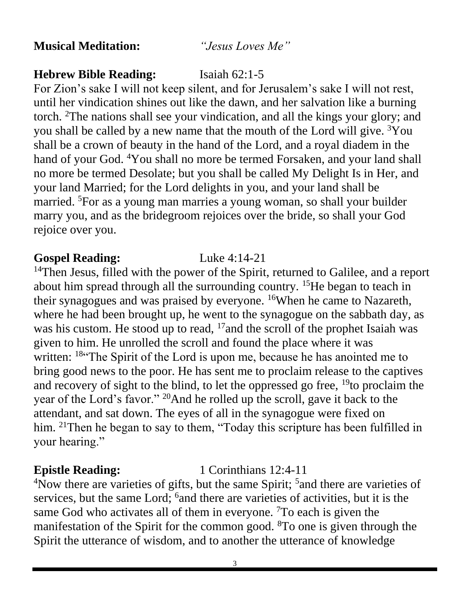**Musical Meditation:** *"Jesus Loves Me"*

#### **Hebrew Bible Reading:** Isaiah 62:1-5

For Zion's sake I will not keep silent, and for Jerusalem's sake I will not rest, until her vindication shines out like the dawn, and her salvation like a burning torch. <sup>2</sup>The nations shall see your vindication, and all the kings your glory; and you shall be called by a new name that the mouth of the Lord will give.  ${}^{3}$ You shall be a crown of beauty in the hand of the Lord, and a royal diadem in the hand of your God. <sup>4</sup>You shall no more be termed Forsaken, and your land shall no more be termed Desolate; but you shall be called My Delight Is in Her, and your land Married; for the Lord delights in you, and your land shall be married. <sup>5</sup>For as a young man marries a young woman, so shall your builder marry you, and as the bridegroom rejoices over the bride, so shall your God rejoice over you.

#### **Gospel Reading:** Luke 4:14-21

<sup>14</sup>Then Jesus, filled with the power of the Spirit, returned to Galilee, and a report about him spread through all the surrounding country. <sup>15</sup>He began to teach in their synagogues and was praised by everyone. <sup>16</sup>When he came to Nazareth, where he had been brought up, he went to the synagogue on the sabbath day, as was his custom. He stood up to read, <sup>17</sup> and the scroll of the prophet Isaiah was given to him. He unrolled the scroll and found the place where it was written: <sup>18"</sup>The Spirit of the Lord is upon me, because he has anointed me to bring good news to the poor. He has sent me to proclaim release to the captives and recovery of sight to the blind, to let the oppressed go free,  $^{19}$  to proclaim the year of the Lord's favor." <sup>20</sup>And he rolled up the scroll, gave it back to the attendant, and sat down. The eyes of all in the synagogue were fixed on him. <sup>21</sup>Then he began to say to them, "Today this scripture has been fulfilled in your hearing."

#### **Epistle Reading:** 1 Corinthians 12:4-11

<sup>4</sup>Now there are varieties of gifts, but the same Spirit; <sup>5</sup> and there are varieties of services, but the same Lord; <sup>6</sup> and there are varieties of activities, but it is the same God who activates all of them in everyone. <sup>7</sup>To each is given the manifestation of the Spirit for the common good. <sup>8</sup>To one is given through the Spirit the utterance of wisdom, and to another the utterance of knowledge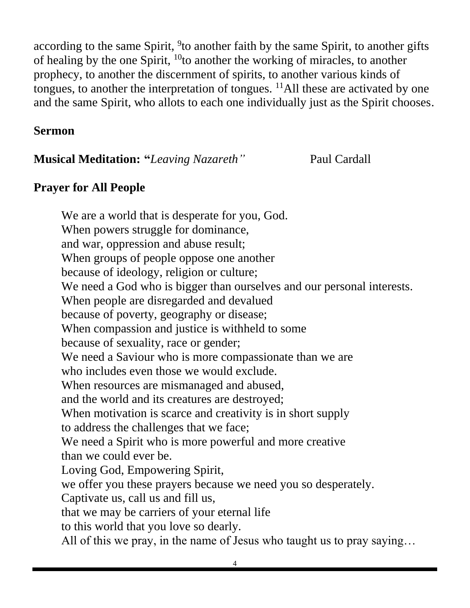according to the same Spirit, <sup>9</sup>to another faith by the same Spirit, to another gifts of healing by the one Spirit,  $^{10}$  to another the working of miracles, to another prophecy, to another the discernment of spirits, to another various kinds of tongues, to another the interpretation of tongues.  $^{11}$ All these are activated by one and the same Spirit, who allots to each one individually just as the Spirit chooses.

#### **Sermon**

**Musical Meditation: "***Leaving Nazareth"* Paul Cardall

#### **Prayer for All People**

We are a world that is desperate for you, God. When powers struggle for dominance, and war, oppression and abuse result; When groups of people oppose one another because of ideology, religion or culture; We need a God who is bigger than ourselves and our personal interests. When people are disregarded and devalued because of poverty, geography or disease; When compassion and justice is withheld to some because of sexuality, race or gender; We need a Saviour who is more compassionate than we are who includes even those we would exclude. When resources are mismanaged and abused, and the world and its creatures are destroyed; When motivation is scarce and creativity is in short supply to address the challenges that we face; We need a Spirit who is more powerful and more creative than we could ever be. Loving God, Empowering Spirit, we offer you these prayers because we need you so desperately. Captivate us, call us and fill us, that we may be carriers of your eternal life to this world that you love so dearly. All of this we pray, in the name of Jesus who taught us to pray saying…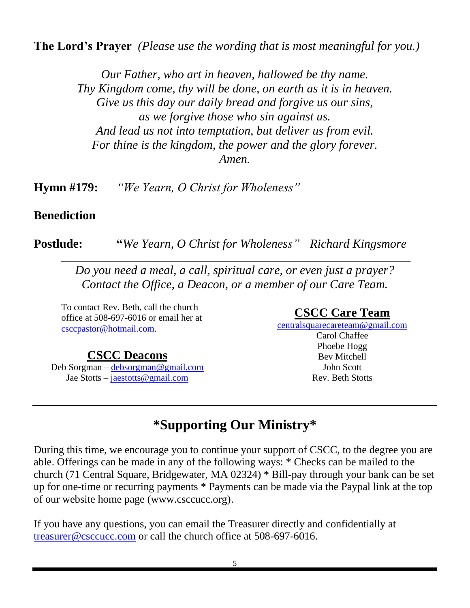**The Lord's Prayer** *(Please use the wording that is most meaningful for you.)*

*Our Father, who art in heaven, hallowed be thy name. Thy Kingdom come, thy will be done, on earth as it is in heaven. Give us this day our daily bread and forgive us our sins, as we forgive those who sin against us. And lead us not into temptation, but deliver us from evil. For thine is the kingdom, the power and the glory forever. Amen.*

**Hymn #179:** *"We Yearn, O Christ for Wholeness"*

#### **Benediction**

**Postlude: "***We Yearn, O Christ for Wholeness" Richard Kingsmore*

*Do you need a meal, a call, spiritual care, or even just a prayer? Contact the Office, a Deacon, or a member of our Care Team.*

\_\_\_\_\_\_\_\_\_\_\_\_\_\_\_\_\_\_\_\_\_\_\_\_\_\_\_\_\_\_\_\_\_\_\_\_\_\_\_\_\_\_\_\_\_\_\_\_\_\_\_\_\_\_\_\_\_\_\_\_\_\_\_\_\_

To contact Rev. Beth, call the church office at 508-697-6016 or email her at [csccpastor@hotmail.com.](mailto:csccpastor@hotmail.com)

#### **CSCC Deacons**

Deb Sorgman – [debsorgman@gmail.com](mailto:debsorgman@gmail.com) Jae Stotts – [jaestotts@gmail.com](mailto:jaestotts@gmail.com)

#### **CSCC Care Team**

[centralsquarecareteam@gmail.com](mailto:CentralSquareCareTeam@gmail.com) Carol Chaffee Phoebe Hogg Bev Mitchell John Scott Rev. Beth Stotts

## **\*Supporting Our Ministry\***

During this time, we encourage you to continue your support of CSCC, to the degree you are able. Offerings can be made in any of the following ways: \* Checks can be mailed to the church (71 Central Square, Bridgewater, MA 02324) \* Bill-pay through your bank can be set up for one-time or recurring payments \* Payments can be made via the Paypal link at the top of our website home page (www.csccucc.org).

If you have any questions, you can email the Treasurer directly and confidentially at [treasurer@csccucc.com](mailto:treasurer@csccucc.com) or call the church office at 508-697-6016.